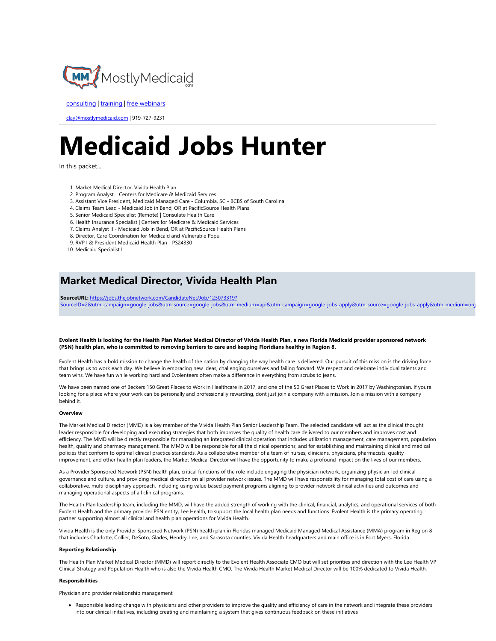

[consulting](http://bit.ly/2L815p0) | [training](http://bit.ly/2zL1l4r) | [free webinars](http://bit.ly/2ccl593)

[clay@mostlymedicaid.com](mailto:clay%40mostlymedicaid.com) | 919-727-9231

# Medicaid Jobs Hunter

In this packet....

- 1. Market Medical Director, Vivida Health Plan
- 2. Program Analyst. | Centers for Medicare & Medicaid Services
- 3. Assistant Vice President, Medicaid Managed Care Columbia, SC BCBS of South Carolina
- 4. Claims Team Lead Medicaid Job in Bend, OR at PacificSource Health Plans
- 5. Senior Medicaid Specialist (Remote) | Consulate Health Care
- 6. Health Insurance Specialist | Centers for Medicare & Medicaid Services
- 7. Claims Analyst II Medicaid Job in Bend, OR at PacificSource Health Plans
- 8. Director, Care Coordination for Medicaid and Vulnerable Popu
- 9. RVP I & President Medicaid Health Plan PS24330

10. Medicaid Specialist I

# Market Medical Director, Vivida Health Plan

SourceURL: https://jobs.thejobnetwork.com/CandidateNet/Job/123073319? [SourceID=2&utm\\_campaign=google\\_jobs&utm\\_source=google\\_jobs&utm\\_medium=api&utm\\_campaign=google\\_jobs\\_apply&utm\\_source=google\\_jobs\\_apply&utm\\_medium=org](https://jobs.thejobnetwork.com/CandidateNet/Job/123073319%3FSourceID%3D2%26utm_campaign%3Dgoogle_jobs%26utm_source%3Dgoogle_jobs%26utm_medium%3Dapi%26utm_campaign%3Dgoogle_jobs_apply%26utm_source%3Dgoogle_jobs_apply%26utm_medium%3Dorganic)

Evolent Health is looking for the Health Plan Market Medical Director of Vivida Health Plan, a new Florida Medicaid provider sponsored network (PSN) health plan, who is committed to removing barriers to care and keeping Floridians healthy in Region 8.

Evolent Health has a bold mission to change the health of the nation by changing the way health care is delivered. Our pursuit of this mission is the driving force that brings us to work each day. We believe in embracing new ideas, challenging ourselves and failing forward. We respect and celebrate individual talents and team wins. We have fun while working hard and Evolenteers often make a difference in everything from scrubs to jeans.

We have been named one of Beckers 150 Great Places to Work in Healthcare in 2017, and one of the 50 Great Places to Work in 2017 by Washingtonian. If youre looking for a place where your work can be personally and professionally rewarding, dont just join a company with a mission. Join a mission with a company behind it.

#### **Overview**

The Market Medical Director (MMD) is a key member of the Vivida Health Plan Senior Leadership Team. The selected candidate will act as the clinical thought leader responsible for developing and executing strategies that both improves the quality of health care delivered to our members and improves cost and efficiency. The MMD will be directly responsible for managing an integrated clinical operation that includes utilization management, care management, population health, quality and pharmacy management. The MMD will be responsible for all the clinical operations, and for establishing and maintaining clinical and medical policies that conform to optimal clinical practice standards. As a collaborative member of a team of nurses, clinicians, physicians, pharmacists, quality improvement, and other health plan leaders, the Market Medical Director will have the opportunity to make a profound impact on the lives of our members.

As a Provider Sponsored Network (PSN) health plan, critical functions of the role include engaging the physician network, organizing physician-led clinical governance and culture, and providing medical direction on all provider network issues. The MMD will have responsibility for managing total cost of care using a collaborative, multi-disciplinary approach, including using value based payment programs aligning to provider network clinical activities and outcomes and managing operational aspects of all clinical programs.

The Health Plan leadership team, including the MMD, will have the added strength of working with the clinical, financial, analytics, and operational services of both Evolent Health and the primary provider PSN entity, Lee Health, to support the local health plan needs and functions. Evolent Health is the primary operating partner supporting almost all clinical and health plan operations for Vivida Health.

Vivida Health is the only Provider Sponsored Network (PSN) health plan in Floridas managed Medicaid Managed Medical Assistance (MMA) program in Region 8 that includes Charlotte, Collier, DeSoto, Glades, Hendry, Lee, and Sarasota counties. Vivida Health headquarters and main office is in Fort Myers, Florida.

### Reporting Relationship

The Health Plan Market Medical Director (MMD) will report directly to the Evolent Health Associate CMO but will set priorities and direction with the Lee Health VP Clinical Strategy and Population Health who is also the Vivida Health CMO. The Vivida Health Market Medical Director will be 100% dedicated to Vivida Health.

# Responsibilities

Physician and provider relationship management

Responsible leading change with physicians and other providers to improve the quality and efficiency of care in the network and integrate these providers into our clinical initiatives, including creating and maintaining a system that gives continuous feedback on these initiatives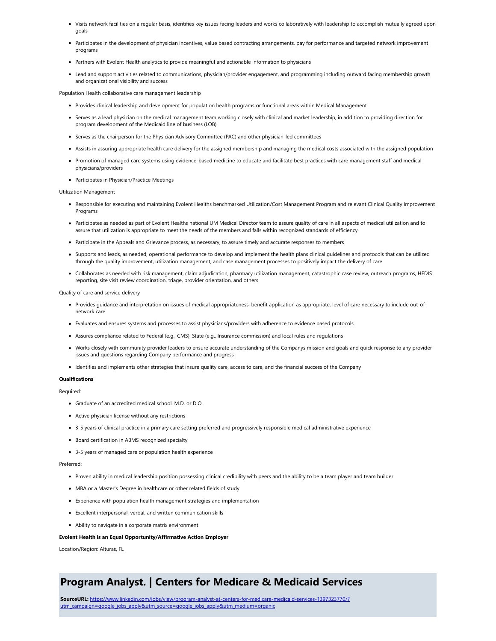- Visits network facilities on a regular basis, identifies key issues facing leaders and works collaboratively with leadership to accomplish mutually agreed upon goals
- Participates in the development of physician incentives, value based contracting arrangements, pay for performance and targeted network improvement programs
- Partners with Evolent Health analytics to provide meaningful and actionable information to physicians
- Lead and support activities related to communications, physician/provider engagement, and programming including outward facing membership growth and organizational visibility and success

Population Health collaborative care management leadership

- Provides clinical leadership and development for population health programs or functional areas within Medical Management
- Serves as a lead physician on the medical management team working closely with clinical and market leadership, in addition to providing direction for program development of the Medicaid line of business (LOB)
- Serves as the chairperson for the Physician Advisory Committee (PAC) and other physician-led committees
- Assists in assuring appropriate health care delivery for the assigned membership and managing the medical costs associated with the assigned population
- Promotion of managed care systems using evidence-based medicine to educate and facilitate best practices with care management staff and medical physicians/providers
- Participates in Physician/Practice Meetings

# Utilization Management

- Responsible for executing and maintaining Evolent Healths benchmarked Utilization/Cost Management Program and relevant Clinical Quality Improvement Programs
- Participates as needed as part of Evolent Healths national UM Medical Director team to assure quality of care in all aspects of medical utilization and to assure that utilization is appropriate to meet the needs of the members and falls within recognized standards of efficiency
- Participate in the Appeals and Grievance process, as necessary, to assure timely and accurate responses to members
- Supports and leads, as needed, operational performance to develop and implement the health plans clinical guidelines and protocols that can be utilized through the quality improvement, utilization management, and case management processes to positively impact the delivery of care.
- Collaborates as needed with risk management, claim adjudication, pharmacy utilization management, catastrophic case review, outreach programs, HEDIS reporting, site visit review coordination, triage, provider orientation, and others

Quality of care and service delivery

- Provides guidance and interpretation on issues of medical appropriateness, benefit application as appropriate, level of care necessary to include out-ofnetwork care
- Evaluates and ensures systems and processes to assist physicians/providers with adherence to evidence based protocols
- Assures compliance related to Federal (e.g., CMS), State (e.g., Insurance commission) and local rules and regulations
- Works closely with community provider leaders to ensure accurate understanding of the Companys mission and goals and quick response to any provider issues and questions regarding Company performance and progress
- Identifies and implements other strategies that insure quality care, access to care, and the financial success of the Company

# Qualifications

Required:

- Graduate of an accredited medical school. M.D. or D.O.
- Active physician license without any restrictions
- 3-5 years of clinical practice in a primary care setting preferred and progressively responsible medical administrative experience
- Board certification in ABMS recognized specialty
- 3-5 years of managed care or population health experience

# Preferred:

- Proven ability in medical leadership position possessing clinical credibility with peers and the ability to be a team player and team builder
- MBA or a Master's Degree in healthcare or other related fields of study
- Experience with population health management strategies and implementation
- Excellent interpersonal, verbal, and written communication skills
- Ability to navigate in a corporate matrix environment

# Evolent Health is an Equal Opportunity/Affirmative Action Employer

Location/Region: Alturas, FL

# Program Analyst. | Centers for Medicare & Medicaid Services

SourceURL: [https://www.linkedin.com/jobs/view/program-analyst-at-centers-for-medicare-medicaid-services-1397323770/?](https://www.linkedin.com/jobs/view/program-analyst-at-centers-for-medicare-medicaid-services-1397323770/%3Futm_campaign%3Dgoogle_jobs_apply%26utm_source%3Dgoogle_jobs_apply%26utm_medium%3Dorganic) utm\_campaign=google\_jobs\_apply&utm\_source=google\_jobs\_apply&utm\_medium=organic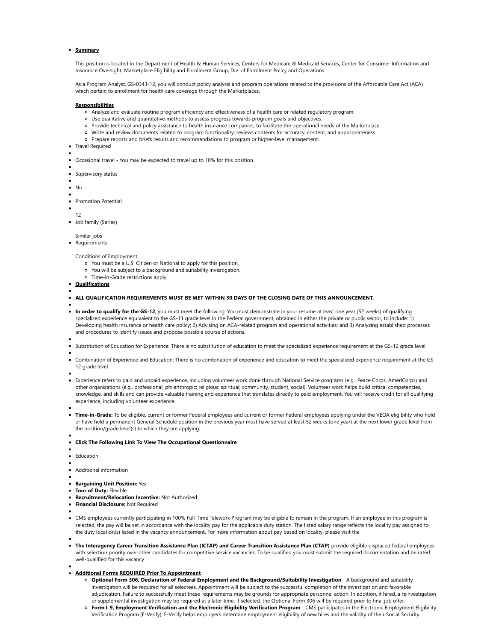# Summary

This position is located in the Department of Health & Human Services, Centers for Medicare & Medicaid Services, Center for Consumer Information and Insurance Oversight, Marketplace Eligibility and Enrollment Group, Div. of Enrollment Policy and Operations.

As a Program Analyst, GS-0343-12, you will conduct policy analysis and program operations related to the provisions of the Affordable Care Act (ACA) which pertain to enrollment for health care coverage through the Marketplaces.

# Responsibilities

- Analyze and evaluate routine program efficiency and effectiveness of a health care or related regulatory program.
- Use qualitative and quantitative methods to assess progress towards program goals and objectives.
- Provide technical and policy assistance to health insurance companies, to facilitate the operational needs of the Marketplace.
- Write and review documents related to program functionality; reviews contents for accuracy, content, and appropriateness.
- Prepare reports and briefs results and recommendations to program or higher-level management.
- Travel Required
- 

 $\bullet$ Occasional travel - You may be expected to travel up to 10% for this position.

- 
- Supervisory status
- $\bullet$  No
- 
- Promotion Potential
- 
- 12
- Job family (Series)

Similar jobs

• Requirements

# Conditions of Employment

- You must be a U.S. Citizen or National to apply for this position.
- You will be subject to a background and suitability investigation.
- Time-in-Grade restrictions apply.
- **Qualifications**
- 
- ALL QUALIFICATION REQUIREMENTS MUST BE MET WITHIN 30 DAYS OF THE CLOSING DATE OF THIS ANNOUNCEMENT.
- In order to qualify for the GS-12, you must meet the following: You must demonstrate in your resume at least one year (52 weeks) of qualifying specialized experience equivalent to the GS-11 grade level in the Federal government, obtained in either the private or public sector, to include: 1) Developing health insurance or health care policy; 2) Advising on ACA-related program and operational activities; and 3) Analyzing established processes and procedures to identify issues and propose possible course of actions.
- . Substitution of Education for Experience: There is no substitution of education to meet the specialized experience requirement at the GS-12 grade level.
- 
- Combination of Experience and Education: There is no combination of experience and education to meet the specialized experience requirement at the GS-12 grade level.
- 
- Experience refers to paid and unpaid experience, including volunteer work done through National Service programs (e.g., Peace Corps, AmeriCorps) and other organizations (e.g., professional; philanthropic; religious; spiritual; community, student, social). Volunteer work helps build critical competencies, knowledge, and skills and can provide valuable training and experience that translates directly to paid employment. You will receive credit for all qualifying experience, including volunteer experience.
- 
- Time-in-Grade: To be eligible, current or former Federal employees and current or former Federal employees applying under the VEOA eligibility who hold or have held a permanent General Schedule position in the previous year must have served at least 52 weeks (one year) at the next lower grade level from the position/grade level(s) to which they are applying.

#### Click The Following Link To View The Occupational Questionnaire

- 
- **•** Education
- Additional information
- 
- **Bargaining Unit Position: Yes**
- **Tour of Duty: Flexible**
- **Recruitment/Relocation Incentive: Not Authorized**
- **Financial Disclosure: Not Required**
- 
- CMS employees currently participating in 100% Full-Time Telework Program may be eligible to remain in the program. If an employee in this program is selected, the pay will be set in accordance with the locality pay for the applicable duty station. The listed salary range reflects the locality pay assigned to the duty location(s) listed in the vacancy announcement. For more information about pay based on locality, please visit the
- The Interagency Career Transition Assistance Plan (ICTAP) and Career Transition Assistance Plan (CTAP) provide eligible displaced federal employees with selection priority over other candidates for competitive service vacancies. To be qualified you must submit the required documentation and be rated well-qualified for this vacancy.
- 

# Additional Forms REQUIRED Prior To Appointment

- o Optional Form 306, Declaration of Federal Employment and the Background/Suitability Investigation A background and suitability investigation will be required for all selectees. Appointment will be subject to the successful completion of the investigation and favorable adjudication. Failure to successfully meet these requirements may be grounds for appropriate personnel action. In addition, if hired, a reinvestigation or supplemental investigation may be required at a later time. If selected, the Optional Form 306 will be required prior to final job offer.
- o Form I-9, Employment Verification and the Electronic Eligibility Verification Program CMS participates in the Electronic Employment Eligibility Verification Program (E-Verify). E-Verify helps employers determine employment eligibility of new hires and the validity of their Social Security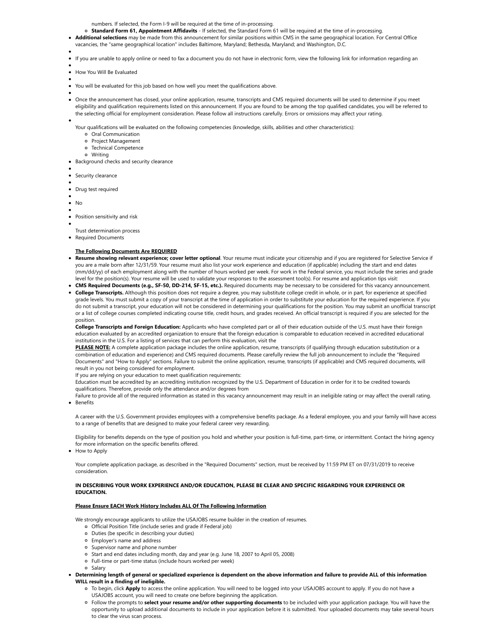numbers. If selected, the Form I-9 will be required at the time of in-processing.

o Standard Form 61, Appointment Affidavits - If selected, the Standard Form 61 will be required at the time of in-processing.

- Additional selections may be made from this announcement for similar positions within CMS in the same geographical location. For Central Office vacancies, the "same geographical location" includes Baltimore, Maryland; Bethesda, Maryland; and Washington, D.C.
	-
- If you are unable to apply online or need to fax a document you do not have in electronic form, view the following link for information regarding an
- 
- 
- How You Will Be Evaluated
- You will be evaluated for this job based on how well you meet the qualifications above.
- 
- Once the announcement has closed, your online application, resume, transcripts and CMS required documents will be used to determine if you meet eligibility and qualification requirements listed on this announcement. If you are found to be among the top qualified candidates, you will be referred to the selecting official for employment consideration. Please follow all instructions carefully. Errors or omissions may affect your rating.
- - Your qualifications will be evaluated on the following competencies (knowledge, skills, abilities and other characteristics):
		- Oral Communication
		- o Project Management
		- Technical Competence
		- Writing
- Background checks and security clearance
- Security clearance
- 
- Drug test required
- 
- $\bullet$  No
- 
- Position sensitivity and risk
- 
- Trust determination process
- Required Documents

#### The Following Documents Are REQUIRED

- . Resume showing relevant experience; cover letter optional. Your resume must indicate your citizenship and if you are registered for Selective Service if you are a male born after 12/31/59. Your resume must also list your work experience and education (if applicable) including the start and end dates (mm/dd/yy) of each employment along with the number of hours worked per week. For work in the Federal service, you must include the series and grade level for the position(s). Your resume will be used to validate your responses to the assessment tool(s). For resume and application tips visit:
- **CMS Required Documents (e.g., SF-50, DD-214, SF-15, etc.).** Required documents may be necessary to be considered for this vacancy announcement.
- College Transcripts. Although this position does not require a degree, you may substitute college credit in whole, or in part, for experience at specified grade levels. You must submit a copy of your transcript at the time of application in order to substitute your education for the required experience. If you do not submit a transcript, your education will not be considered in determining your qualifications for the position. You may submit an unofficial transcript or a list of college courses completed indicating course title, credit hours, and grades received. An official transcript is required if you are selected for the position.

College Transcripts and Foreign Education: Applicants who have completed part or all of their education outside of the U.S. must have their foreign education evaluated by an accredited organization to ensure that the foreign education is comparable to education received in accredited educational institutions in the U.S. For a listing of services that can perform this evaluation, visit the

PLEASE NOTE: A complete application package includes the online application, resume, transcripts (if qualifying through education substitution or a combination of education and experience) and CMS required documents. Please carefully review the full job announcement to include the "Required Documents" and "How to Apply" sections. Failure to submit the online application, resume, transcripts (if applicable) and CMS required documents, will result in you not being considered for employment.

If you are relying on your education to meet qualification requirements:

Education must be accredited by an accrediting institution recognized by the U.S. Department of Education in order for it to be credited towards qualifications. Therefore, provide only the attendance and/or degrees from

Failure to provide all of the required information as stated in this vacancy announcement may result in an ineligible rating or may affect the overall rating. Benefits

A career with the U.S. Government provides employees with a comprehensive benefits package. As a federal employee, you and your family will have access to a range of benefits that are designed to make your federal career very rewarding.

Eligibility for benefits depends on the type of position you hold and whether your position is full-time, part-time, or intermittent. Contact the hiring agency for more information on the specific benefits offered.

How to Apply

Your complete application package, as described in the "Required Documents" section, must be received by 11:59 PM ET on 07/31/2019 to receive consideration.

# IN DESCRIBING YOUR WORK EXPERIENCE AND/OR EDUCATION, PLEASE BE CLEAR AND SPECIFIC REGARDING YOUR EXPERIENCE OR EDUCATION.

# Please Ensure EACH Work History Includes ALL Of The Following Information

We strongly encourage applicants to utilize the USAJOBS resume builder in the creation of resumes.

- Official Position Title (include series and grade if Federal job)
- Duties (be specific in describing your duties)
- Employer's name and address
- Supervisor name and phone number
- Start and end dates including month, day and year (e.g. June 18, 2007 to April 05, 2008)
- Full-time or part-time status (include hours worked per week)
- o Salary
- Determining length of general or specialized experience is dependent on the above information and failure to provide ALL of this information WILL result in a finding of ineligible.
	- o To begin, click Apply to access the online application. You will need to be logged into your USAJOBS account to apply. If you do not have a USAJOBS account, you will need to create one before beginning the application.
	- o Follow the prompts to select your resume and/or other supporting documents to be included with your application package. You will have the opportunity to upload additional documents to include in your application before it is submitted. Your uploaded documents may take several hours to clear the virus scan process.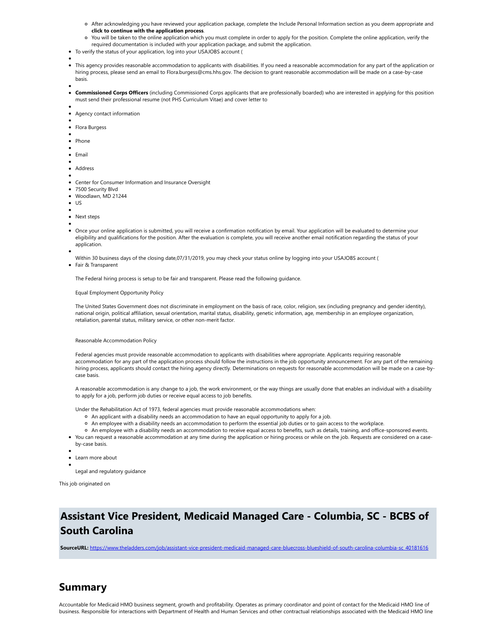- After acknowledging you have reviewed your application package, complete the Include Personal Information section as you deem appropriate and click to continue with the application process.
- You will be taken to the online application which you must complete in order to apply for the position. Complete the online application, verify the required documentation is included with your application package, and submit the application.
- To verify the status of your application, log into your USAJOBS account (
- - This agency provides reasonable accommodation to applicants with disabilities. If you need a reasonable accommodation for any part of the application or hiring process, please send an email to Flora.burgess@cms.hhs.gov. The decision to grant reasonable accommodation will be made on a case-by-case basis.

- Commissioned Corps Officers (including Commissioned Corps applicants that are professionally boarded) who are interested in applying for this position  $\bullet$ must send their professional resume (not PHS Curriculum Vitae) and cover letter to
- 
- Agency contact information
- Flora Burgess
- 
- Phone
- 
- $\bullet$  Email
- Address
- 
- Center for Consumer Information and Insurance Oversight
- 7500 Security Blyd
- Woodlawn, MD 21244
- $\cdot$  US
- 
- **•** Next steps
- Once your online application is submitted, you will receive a confirmation notification by email. Your application will be evaluated to determine your eligibility and qualifications for the position. After the evaluation is complete, you will receive another email notification regarding the status of your application.
	-
	- Within 30 business days of the closing date,07/31/2019, you may check your status online by logging into your USAJOBS account (
	- Fair & Transparent

The Federal hiring process is setup to be fair and transparent. Please read the following guidance.

Equal Employment Opportunity Policy

The United States Government does not discriminate in employment on the basis of race, color, religion, sex (including pregnancy and gender identity), national origin, political affiliation, sexual orientation, marital status, disability, genetic information, age, membership in an employee organization, retaliation, parental status, military service, or other non-merit factor.

#### Reasonable Accommodation Policy

Federal agencies must provide reasonable accommodation to applicants with disabilities where appropriate. Applicants requiring reasonable accommodation for any part of the application process should follow the instructions in the job opportunity announcement. For any part of the remaining hiring process, applicants should contact the hiring agency directly. Determinations on requests for reasonable accommodation will be made on a case-bycase basis.

A reasonable accommodation is any change to a job, the work environment, or the way things are usually done that enables an individual with a disability to apply for a job, perform job duties or receive equal access to job benefits.

Under the Rehabilitation Act of 1973, federal agencies must provide reasonable accommodations when:

- An applicant with a disability needs an accommodation to have an equal opportunity to apply for a job.
- An employee with a disability needs an accommodation to perform the essential job duties or to gain access to the workplace.
- An employee with a disability needs an accommodation to receive equal access to benefits, such as details, training, and office-sponsored events.
- You can request a reasonable accommodation at any time during the application or hiring process or while on the job. Requests are considered on a caseby-case basis.
- 
- Learn more about
	- Legal and regulatory guidance

This job originated on

# Assistant Vice President, Medicaid Managed Care - Columbia, SC - BCBS of South Carolina

SourceURL: [https://www.theladders.com/job/assistant-vice-president-medicaid-managed-care-bluecross-blueshield-of-south-carolina-columbia-sc\\_40181616](https://www.theladders.com/job/assistant-vice-president-medicaid-managed-care-bluecross-blueshield-of-south-carolina-columbia-sc_40181616)

# Summary

Accountable for Medicaid HMO business segment, growth and profitability. Operates as primary coordinator and point of contact for the Medicaid HMO line of business. Responsible for interactions with Department of Health and Human Services and other contractual relationships associated with the Medicaid HMO line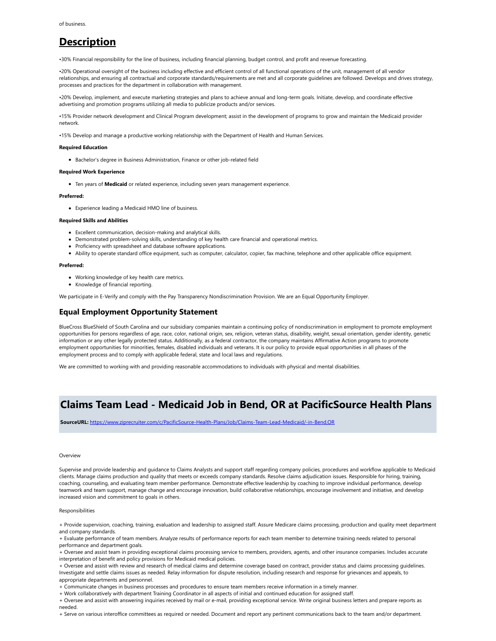# **Description**

•30% Financial responsibility for the line of business, including financial planning, budget control, and profit and revenue forecasting.

•20% Operational oversight of the business including effective and efficient control of all functional operations of the unit, management of all vendor relationships, and ensuring all contractual and corporate standards/requirements are met and all corporate guidelines are followed. Develops and drives strategy, processes and practices for the department in collaboration with management.

•20% Develop, implement, and execute marketing strategies and plans to achieve annual and long-term goals. Initiate, develop, and coordinate effective advertising and promotion programs utilizing all media to publicize products and/or services.

•15% Provider network development and Clinical Program development; assist in the development of programs to grow and maintain the Medicaid provider network.

•15% Develop and manage a productive working relationship with the Department of Health and Human Services.

# Required Education

Bachelor's degree in Business Administration, Finance or other job-related field

#### Required Work Experience

• Ten years of Medicaid or related experience, including seven years management experience.

### Preferred:

Experience leading a Medicaid HMO line of business.

# Required Skills and Abilities

- Excellent communication, decision-making and analytical skills.
- Demonstrated problem-solving skills, understanding of key health care financial and operational metrics.
- Proficiency with spreadsheet and database software applications.
- Ability to operate standard office equipment, such as computer, calculator, copier, fax machine, telephone and other applicable office equipment.

#### Preferred:

- Working knowledge of key health care metrics.
- Knowledge of financial reporting.

We participate in E-Verify and comply with the Pay Transparency Nondiscrimination Provision. We are an Equal Opportunity Employer.

# Equal Employment Opportunity Statement

BlueCross BlueShield of South Carolina and our subsidiary companies maintain a continuing policy of nondiscrimination in employment to promote employment opportunities for persons regardless of age, race, color, national origin, sex, religion, veteran status, disability, weight, sexual orientation, gender identity, genetic information or any other legally protected status. Additionally, as a federal contractor, the company maintains Affirmative Action programs to promote employment opportunities for minorities, females, disabled individuals and veterans. It is our policy to provide equal opportunities in all phases of the employment process and to comply with applicable federal, state and local laws and regulations.

We are committed to working with and providing reasonable accommodations to individuals with physical and mental disabilities.

# Claims Team Lead - Medicaid Job in Bend, OR at PacificSource Health Plans

SourceURL: [https://www.ziprecruiter.com/c/PacificSource-Health-Plans/Job/Claims-Team-Lead-Medicaid/-in-Bend,OR](https://www.ziprecruiter.com/c/PacificSource-Health-Plans/Job/Claims-Team-Lead-Medicaid/-in-Bend%2COR)

# **Overview**

Supervise and provide leadership and guidance to Claims Analysts and support staff regarding company policies, procedures and workflow applicable to Medicaid clients. Manage claims production and quality that meets or exceeds company standards. Resolve claims adjudication issues. Responsible for hiring, training, coaching, counseling, and evaluating team member performance. Demonstrate effective leadership by coaching to improve individual performance, develop teamwork and team support, manage change and encourage innovation, build collaborative relationships, encourage involvement and initiative, and develop increased vision and commitment to goals in others.

# Responsibilities

+ Provide supervision, coaching, training, evaluation and leadership to assigned staff. Assure Medicare claims processing, production and quality meet department and company standards.

+ Evaluate performance of team members. Analyze results of performance reports for each team member to determine training needs related to personal performance and department goals.

+ Oversee and assist team in providing exceptional claims processing service to members, providers, agents, and other insurance companies. Includes accurate interpretation of benefit and policy provisions for Medicaid medical policies.

+ Oversee and assist with review and research of medical claims and determine coverage based on contract, provider status and claims processing guidelines. Investigate and settle claims issues as needed. Relay information for dispute resolution, including research and response for grievances and appeals, to appropriate departments and personnel.

+ Communicate changes in business processes and procedures to ensure team members receive information in a timely manner.

+ Work collaboratively with department Training Coordinator in all aspects of initial and continued education for assigned staff.

+ Oversee and assist with answering inquiries received by mail or e-mail, providing exceptional service. Write original business letters and prepare reports as needed.

+ Serve on various interoffice committees as required or needed. Document and report any pertinent communications back to the team and/or department.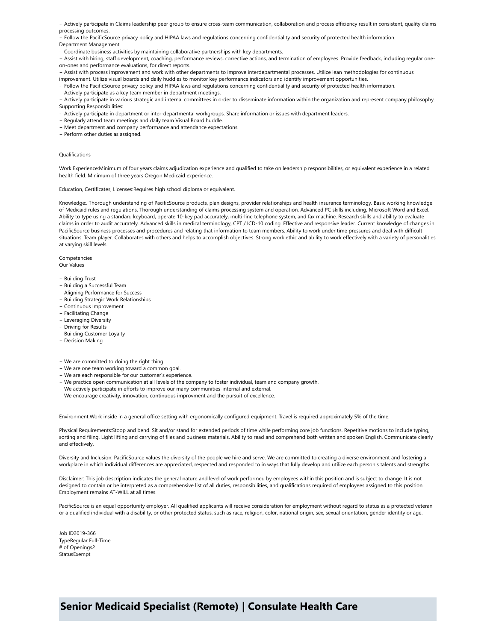+ Actively participate in Claims leadership peer group to ensure cross-team communication, collaboration and process efficiency result in consistent, quality claims processing outcomes.

+ Follow the PacificSource privacy policy and HIPAA laws and regulations concerning confidentiality and security of protected health information. Department Management

+ Coordinate business activities by maintaining collaborative partnerships with key departments.

+ Assist with hiring, staff development, coaching, performance reviews, corrective actions, and termination of employees. Provide feedback, including regular oneon-ones and performance evaluations, for direct reports.

+ Assist with process improvement and work with other departments to improve interdepartmental processes. Utilize lean methodologies for continuous

improvement. Utilize visual boards and daily huddles to monitor key performance indicators and identify improvement opportunities.

+ Follow the PacificSource privacy policy and HIPAA laws and regulations concerning confidentiality and security of protected health information.

+ Actively participate as a key team member in department meetings.

+ Actively participate in various strategic and internal committees in order to disseminate information within the organization and represent company philosophy. Supporting Responsibilities:

+ Actively participate in department or inter-departmental workgroups. Share information or issues with department leaders.

- + Regularly attend team meetings and daily team Visual Board huddle.
- + Meet department and company performance and attendance expectations.
- + Perform other duties as assigned.

#### Qualifications

Work Experience:Minimum of four years claims adjudication experience and qualified to take on leadership responsibilities, or equivalent experience in a related health field. Minimum of three years Oregon Medicaid experience.

#### Education, Certificates, Licenses:Requires high school diploma or equivalent.

Knowledge:. Thorough understanding of PacificSource products, plan designs, provider relationships and health insurance terminology. Basic working knowledge of Medicaid rules and regulations. Thorough understanding of claims processing system and operation. Advanced PC skills including, Microsoft Word and Excel. Ability to type using a standard keyboard, operate 10-key pad accurately, multi-line telephone system, and fax machine. Research skills and ability to evaluate claims in order to audit accurately. Advanced skills in medical terminology, CPT / ICD-10 coding. Effective and responsive leader. Current knowledge of changes in PacificSource business processes and procedures and relating that information to team members. Ability to work under time pressures and deal with difficult situations. Team player. Collaborates with others and helps to accomplish objectives. Strong work ethic and ability to work effectively with a variety of personalities at varying skill levels.

Competencies Our Values

- + Building Trust
- + Building a Successful Team
- + Aligning Performance for Success
- + Building Strategic Work Relationships
- + Continuous Improvement
- + Facilitating Change
- + Leveraging Diversity
- + Driving for Results
- + Building Customer Loyalty
- + Decision Making
- + We are committed to doing the right thing.
- + We are one team working toward a common goal.
- + We are each responsible for our customer's experience.
- + We practice open communication at all levels of the company to foster individual, team and company growth.
- + We actively participate in efforts to improve our many communities-internal and external.
- + We encourage creativity, innovation, continuous improvment and the pursuit of excellence.

Environment:Work inside in a general office setting with ergonomically configured equipment. Travel is required approximately 5% of the time.

Physical Requirements:Stoop and bend. Sit and/or stand for extended periods of time while performing core job functions. Repetitive motions to include typing, sorting and filing. Light lifting and carrying of files and business materials. Ability to read and comprehend both written and spoken English. Communicate clearly and effectively.

Diversity and Inclusion: PacificSource values the diversity of the people we hire and serve. We are committed to creating a diverse environment and fostering a workplace in which individual differences are appreciated, respected and responded to in ways that fully develop and utilize each person's talents and strengths.

Disclaimer: This job description indicates the general nature and level of work performed by employees within this position and is subject to change. It is not designed to contain or be interpreted as a comprehensive list of all duties, responsibilities, and qualifications required of employees assigned to this position. Employment remains AT-WILL at all times.

PacificSource is an equal opportunity employer. All qualified applicants will receive consideration for employment without regard to status as a protected veteran or a qualified individual with a disability, or other protected status, such as race, religion, color, national origin, sex, sexual orientation, gender identity or age.

Job ID2019-366 TypeRegular Full-Time # of Openings2 **StatusExempt**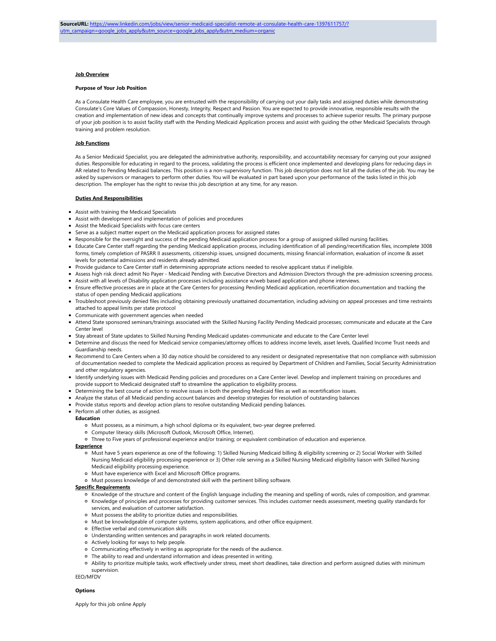# Job Overview

# Purpose of Your Job Position

As a Consulate Health Care employee, you are entrusted with the responsibility of carrying out your daily tasks and assigned duties while demonstrating Consulate's Core Values of Compassion, Honesty, Integrity, Respect and Passion. You are expected to provide innovative, responsible results with the creation and implementation of new ideas and concepts that continually improve systems and processes to achieve superior results. The primary purpose of your job position is to assist facility staff with the Pending Medicaid Application process and assist with guiding the other Medicaid Specialists through training and problem resolution.

# Job Functions

As a Senior Medicaid Specialist, you are delegated the administrative authority, responsibility, and accountability necessary for carrying out your assigned duties. Responsible for educating in regard to the process, validating the process is efficient once implemented and developing plans for reducing days in AR related to Pending Medicaid balances. This position is a non-supervisory function. This job description does not list all the duties of the job. You may be asked by supervisors or managers to perform other duties. You will be evaluated in part based upon your performance of the tasks listed in this job description. The employer has the right to revise this job description at any time, for any reason.

# Duties And Responsibilities

- Assist with training the Medicaid Specialists
- Assist with development and implementation of policies and procedures
- Assist the Medicaid Specialists with focus care centers
- Serve as a subject matter expert on the Medicaid application process for assigned states
- **B** Responsible for the oversight and success of the pending Medicaid application process for a group of assigned skilled nursing facilities.
- Educate Care Center staff regarding the pending Medicaid application process, including identification of all pending/recertification files, incomplete 3008 forms, timely completion of PASRR II assessments, citizenship issues, unsigned documents, missing financial information, evaluation of income & asset levels for potential admissions and residents already admitted.
- Provide guidance to Care Center staff in determining appropriate actions needed to resolve applicant status if ineligible.
- Assess high risk direct admit No Payer Medicaid Pending with Executive Directors and Admission Directors through the pre-admission screening process.
- Assist with all levels of Disability application processes including assistance w/web based application and phone interviews.
- Ensure effective processes are in place at the Care Centers for processing Pending Medicaid application, recertification documentation and tracking the status of open pending Medicaid applications
- Troubleshoot previously denied files including obtaining previously unattained documentation, including advising on appeal processes and time restraints attached to appeal limits per state protocol
- Communicate with government agencies when needed
- Attend State sponsored seminars/trainings associated with the Skilled Nursing Facility Pending Medicaid processes; communicate and educate at the Care Center level
- Stay abreast of State updates to Skilled Nursing Pending Medicaid updates-communicate and educate to the Care Center level
- Determine and discuss the need for Medicaid service companies/attorney offices to address income levels, asset levels, Qualified Income Trust needs and Guardianship needs.
- Recommend to Care Centers when a 30 day notice should be considered to any resident or designated representative that non compliance with submission of documentation needed to complete the Medicaid application process as required by Department of Children and Families, Social Security Administration and other regulatory agencies.
- Identify underlying issues with Medicaid Pending policies and procedures on a Care Center level. Develop and implement training on procedures and provide support to Medicaid designated staff to streamline the application to eligibility process.
- Determining the best course of action to resolve issues in both the pending Medicaid files as well as recertification issues.
- Analyze the status of all Medicaid pending account balances and develop strategies for resolution of outstanding balances
- Provide status reports and develop action plans to resolve outstanding Medicaid pending balances.
- Perform all other duties, as assigned.

# Education

- Must possess, as a minimum, a high school diploma or its equivalent, two-year degree preferred.
	- Computer literacy skills (Microsoft Outlook, Microsoft Office, Internet).
- Three to Five years of professional experience and/or training; or equivalent combination of education and experience.

# **Experience**

- Must have 5 years experience as one of the following: 1) Skilled Nursing Medicaid billing & eligibility screening or 2) Social Worker with Skilled Nursing Medicaid eligibility processing experience or 3) Other role serving as a Skilled Nursing Medicaid eligibility liaison with Skilled Nursing Medicaid eligibility processing experience.
- Must have experience with Excel and Microsoft Office programs.
- Must possess knowledge of and demonstrated skill with the pertinent billing software.

### Specific Requirements

- Knowledge of the structure and content of the English language including the meaning and spelling of words, rules of composition, and grammar. Knowledge of principles and processes for providing customer services. This includes customer needs assessment, meeting quality standards for
- services, and evaluation of customer satisfaction.
- Must possess the ability to prioritize duties and responsibilities.
- o Must be knowledgeable of computer systems, system applications, and other office equipment.
- Effective verbal and communication skills
- Understanding written sentences and paragraphs in work related documents.
- Actively looking for ways to help people.
- Communicating effectively in writing as appropriate for the needs of the audience.
- The ability to read and understand information and ideas presented in writing.
- Ability to prioritize multiple tasks, work effectively under stress, meet short deadlines, take direction and perform assigned duties with minimum supervision.

EEO/MFDV

# **Options**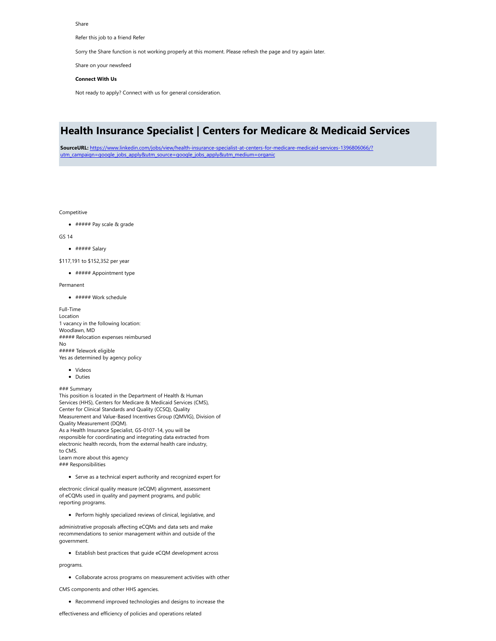# Share

Refer this job to a friend Refer

Sorry the Share function is not working properly at this moment. Please refresh the page and try again later.

Share on your newsfeed

# Connect With Us

Not ready to apply? Connect with us for general consideration.

# Health Insurance Specialist | Centers for Medicare & Medicaid Services

SourceURL: [https://www.linkedin.com/jobs/view/health-insurance-specialist-at-centers-for-medicare-medicaid-services-1396806066/?](https://www.linkedin.com/jobs/view/health-insurance-specialist-at-centers-for-medicare-medicaid-services-1396806066/%3Futm_campaign%3Dgoogle_jobs_apply%26utm_source%3Dgoogle_jobs_apply%26utm_medium%3Dorganic) utm\_campaign=google\_jobs\_apply&utm\_source=google\_jobs\_apply&utm\_medium=organic

Competitive

 $*$  ##### Pay scale & grade

GS 14

```
\bullet ##### Salary
```
\$117,191 to \$152,352 per year

 $*$ ##### Appointment type

Permanent

##### Work schedule

Full-Time Location 1 vacancy in the following location: Woodlawn, MD ##### Relocation expenses reimbursed No ##### Telework eligible Yes as determined by agency policy

- Videos
- **•** Duties

### Summary This position is located in the Department of Health & Human Services (HHS), Centers for Medicare & Medicaid Services (CMS), Center for Clinical Standards and Quality (CCSQ), Quality Measurement and Value-Based Incentives Group (QMVIG), Division of Quality Measurement (DQM). As a Health Insurance Specialist, GS-0107-14, you will be responsible for coordinating and integrating data extracted from electronic health records, from the external health care industry, to CMS. Learn more about this agency ### Responsibilities

Serve as a technical expert authority and recognized expert for

electronic clinical quality measure (eCQM) alignment, assessment of eCQMs used in quality and payment programs, and public reporting programs.

Perform highly specialized reviews of clinical, legislative, and

administrative proposals affecting eCQMs and data sets and make recommendations to senior management within and outside of the government.

Establish best practices that guide eCQM development across

programs.

Collaborate across programs on measurement activities with other

CMS components and other HHS agencies.

Recommend improved technologies and designs to increase the

effectiveness and efficiency of policies and operations related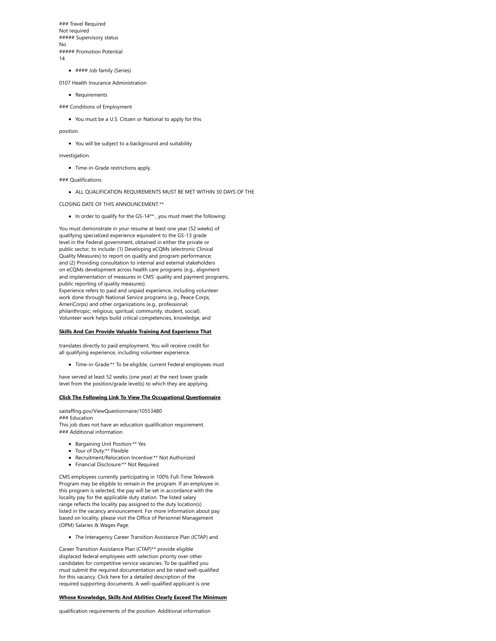### Travel Required Not required ##### Supervisory status No ##### Promotion Potential  $14$ 

 $*$ #### Job family (Series)

0107 Health Insurance Administration

• Requirements

### Conditions of Employment

You must be a U.S. Citizen or National to apply for this

position.

You will be subject to a background and suitability

investigation.

Time-in-Grade restrictions apply.

### Qualifications

ALL QUALIFICATION REQUIREMENTS MUST BE MET WITHIN 30 DAYS OF THE

CLOSING DATE OF THIS ANNOUNCEMENT.\*\*

In order to qualify for the GS-14\*\* , you must meet the following:

You must demonstrate in your resume at least one year (52 weeks) of qualifying specialized experience equivalent to the GS-13 grade level in the Federal government, obtained in either the private or public sector, to include: (1) Developing eCQMs (electronic Clinical Quality Measures) to report on quality and program performance; and (2) Providing consultation to internal and external stakeholders on eCQMs development across health care programs (e.g., alignment and implementation of measures in CMS' quality and payment programs, public reporting of quality measures).

Experience refers to paid and unpaid experience, including volunteer work done through National Service programs (e.g., Peace Corps, AmeriCorps) and other organizations (e.g., professional; philanthropic; religious; spiritual; community, student, social). Volunteer work helps build critical competencies, knowledge, and

### Skills And Can Provide Valuable Training And Experience That

translates directly to paid employment. You will receive credit for all qualifying experience, including volunteer experience.

Time-in-Grade:\*\* To be eligible, current Federal employees must

have served at least 52 weeks (one year) at the next lower grade level from the position/grade level(s) to which they are applying.

# Click The Following Link To View The Occupational Questionnaire

sastaffing.gov/ViewQuestionnaire/10553480 ### Education This job does not have an education qualification requirement. ### Additional information

- Bargaining Unit Position:\*\* Yes
- Tour of Duty:\*\* Flexible
- Recruitment/Relocation Incentive:\*\* Not Authorized
- Financial Disclosure:\*\* Not Required

CMS employees currently participating in 100% Full-Time Telework Program may be eligible to remain in the program. If an employee in this program is selected, the pay will be set in accordance with the locality pay for the applicable duty station. The listed salary range reflects the locality pay assigned to the duty location(s) listed in the vacancy announcement. For more information about pay based on locality, please visit the Office of Personnel Management (OPM) Salaries & Wages Page.

The Interagency Career Transition Assistance Plan (ICTAP) and

Career Transition Assistance Plan (CTAP)\*\* provide eligible displaced federal employees with selection priority over other candidates for competitive service vacancies. To be qualified you must submit the required documentation and be rated well-qualified for this vacancy. Click here for a detailed description of the required supporting documents. A well-qualified applicant is one

# Whose Knowledge, Skills And Abilities Clearly Exceed The Minimum

qualification requirements of the position. Additional information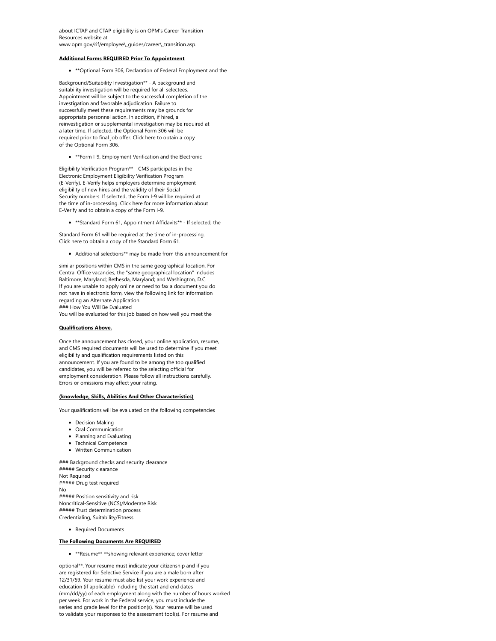about ICTAP and CTAP eligibility is on OPM's Career Transition Resources website at www.opm.gov/rif/employee\\_guides/career\\_transition.asp.

# Additional Forms REQUIRED Prior To Appointment

\*\*\*Optional Form 306, Declaration of Federal Employment and the

Background/Suitability Investigation\*\* - A background and suitability investigation will be required for all selectees. Appointment will be subject to the successful completion of the investigation and favorable adjudication. Failure to successfully meet these requirements may be grounds for appropriate personnel action. In addition, if hired, a reinvestigation or supplemental investigation may be required at a later time. If selected, the Optional Form 306 will be required prior to final job offer. Click here to obtain a copy of the Optional Form 306.

• \*\*Form I-9, Employment Verification and the Electronic

Eligibility Verification Program\*\* - CMS participates in the Electronic Employment Eligibility Verification Program (E-Verify). E-Verify helps employers determine employment eligibility of new hires and the validity of their Social Security numbers. If selected, the Form I-9 will be required at the time of in-processing. Click here for more information about E-Verify and to obtain a copy of the Form I-9.

\*\*Standard Form 61, Appointment Affidavits\*\* - If selected, the

Standard Form 61 will be required at the time of in-processing. Click here to obtain a copy of the Standard Form 61.

Additional selections\*\* may be made from this announcement for

similar positions within CMS in the same geographical location. For Central Office vacancies, the "same geographical location" includes Baltimore, Maryland; Bethesda, Maryland; and Washington, D.C. If you are unable to apply online or need to fax a document you do not have in electronic form, view the following link for information regarding an Alternate Application. ### How You Will Be Evaluated

You will be evaluated for this job based on how well you meet the

# Qualifications Above.

Once the announcement has closed, your online application, resume, and CMS required documents will be used to determine if you meet eligibility and qualification requirements listed on this announcement. If you are found to be among the top qualified candidates, you will be referred to the selecting official for employment consideration. Please follow all instructions carefully. Errors or omissions may affect your rating.

# (knowledge, Skills, Abilities And Other Characteristics)

Your qualifications will be evaluated on the following competencies

- Decision Making
- Oral Communication
- Planning and Evaluating
- Technical Competence
- Written Communication

### Background checks and security clearance ##### Security clearance Not Required ##### Drug test required No ##### Position sensitivity and risk Noncritical-Sensitive (NCS)/Moderate Risk

##### Trust determination process Credentialing, Suitability/Fitness

• Required Documents

# The Following Documents Are REQUIRED

\*\*Resume\*\* \*\*showing relevant experience; cover letter

optional\*\*. Your resume must indicate your citizenship and if you are registered for Selective Service if you are a male born after 12/31/59. Your resume must also list your work experience and education (if applicable) including the start and end dates (mm/dd/yy) of each employment along with the number of hours worked per week. For work in the Federal service, you must include the series and grade level for the position(s). Your resume will be used to validate your responses to the assessment tool(s). For resume and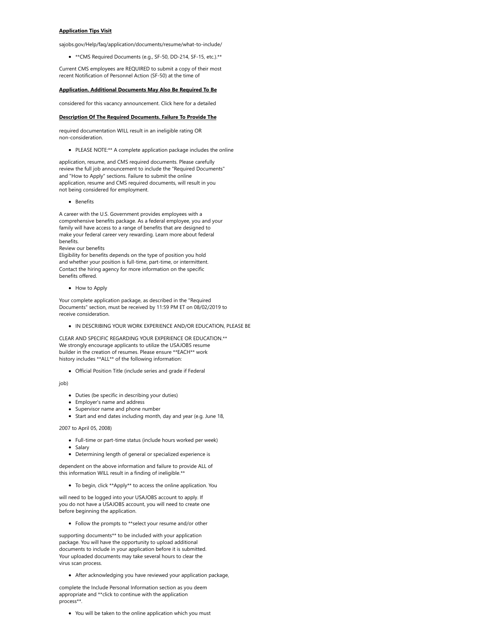# Application Tips Visit

sajobs.gov/Help/faq/application/documents/resume/what-to-include/

\*\*CMS Required Documents (e.g., SF-50, DD-214, SF-15, etc.).\*\*

Current CMS employees are REQUIRED to submit a copy of their most recent Notification of Personnel Action (SF-50) at the time of

# Application. Additional Documents May Also Be Required To Be

considered for this vacancy announcement. Click here for a detailed

# Description Of The Required Documents. Failure To Provide The

required documentation WILL result in an ineligible rating OR non-consideration.

PLEASE NOTE:\*\* A complete application package includes the online

application, resume, and CMS required documents. Please carefully review the full job announcement to include the "Required Documents" and "How to Apply" sections. Failure to submit the online application, resume and CMS required documents, will result in you not being considered for employment.

• Benefits

A career with the U.S. Government provides employees with a comprehensive benefits package. As a federal employee, you and your family will have access to a range of benefits that are designed to make your federal career very rewarding. Learn more about federal benefits.

Review our benefits

Eligibility for benefits depends on the type of position you hold and whether your position is full-time, part-time, or intermittent. Contact the hiring agency for more information on the specific benefits offered.

• How to Apply

Your complete application package, as described in the "Required Documents" section, must be received by 11:59 PM ET on 08/02/2019 to receive consideration.

IN DESCRIBING YOUR WORK EXPERIENCE AND/OR EDUCATION, PLEASE BE

CLEAR AND SPECIFIC REGARDING YOUR EXPERIENCE OR EDUCATION.\*\* We strongly encourage applicants to utilize the USAJOBS resume builder in the creation of resumes. Please ensure \*\*EACH\*\* work history includes \*\*ALL\*\* of the following information:

Official Position Title (include series and grade if Federal

job)

- Duties (be specific in describing your duties)
- Employer's name and address
- Supervisor name and phone number
- Start and end dates including month, day and year (e.g. June 18,

2007 to April 05, 2008)

- Full-time or part-time status (include hours worked per week)
- Salary Determining length of general or specialized experience is

dependent on the above information and failure to provide ALL of

this information WILL result in a finding of ineligible.\*\*

To begin, click \*\*Apply\*\* to access the online application. You

will need to be logged into your USAJOBS account to apply. If you do not have a USAJOBS account, you will need to create one before beginning the application.

• Follow the prompts to \*\*select your resume and/or other

supporting documents\*\* to be included with your application package. You will have the opportunity to upload additional documents to include in your application before it is submitted. Your uploaded documents may take several hours to clear the virus scan process.

After acknowledging you have reviewed your application package,

complete the Include Personal Information section as you deem appropriate and \*\*click to continue with the application process\*\*.

You will be taken to the online application which you must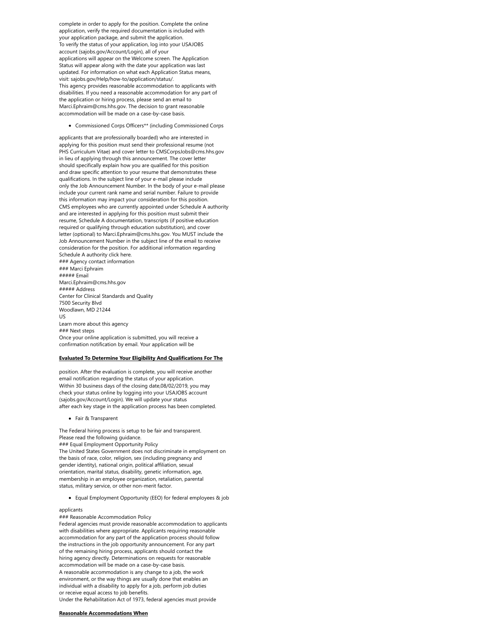complete in order to apply for the position. Complete the online application, verify the required documentation is included with your application package, and submit the application. To verify the status of your application, log into your USAJOBS account (sajobs.gov/Account/Login), all of your applications will appear on the Welcome screen. The Application Status will appear along with the date your application was last updated. For information on what each Application Status means, visit: sajobs.gov/Help/how-to/application/status/. This agency provides reasonable accommodation to applicants with disabilities. If you need a reasonable accommodation for any part of the application or hiring process, please send an email to Marci.Ephraim@cms.hhs.gov. The decision to grant reasonable accommodation will be made on a case-by-case basis.

Commissioned Corps Officers\*\* (including Commissioned Corps

applicants that are professionally boarded) who are interested in applying for this position must send their professional resume (not PHS Curriculum Vitae) and cover letter to CMSCorpsJobs@cms.hhs.gov in lieu of applying through this announcement. The cover letter should specifically explain how you are qualified for this position and draw specific attention to your resume that demonstrates these qualifications. In the subject line of your e-mail please include only the Job Announcement Number. In the body of your e-mail please include your current rank name and serial number. Failure to provide this information may impact your consideration for this position. CMS employees who are currently appointed under Schedule A authority and are interested in applying for this position must submit their resume, Schedule A documentation, transcripts (if positive education required or qualifying through education substitution), and cover letter (optional) to Marci.Ephraim@cms.hhs.gov. You MUST include the Job Announcement Number in the subject line of the email to receive consideration for the position. For additional information regarding Schedule A authority click here. ### Agency contact information

### Marci Ephraim ##### Email Marci.Ephraim@cms.hhs.gov ##### Address Center for Clinical Standards and Quality 7500 Security Blvd Woodlawn, MD 21244 US Learn more about this agency ### Next steps Once your online application is submitted, you will receive a confirmation notification by email. Your application will be

#### Evaluated To Determine Your Eligibility And Qualifications For The

position. After the evaluation is complete, you will receive another email notification regarding the status of your application. Within 30 business days of the closing date,08/02/2019, you may check your status online by logging into your USAJOBS account (sajobs.gov/Account/Login). We will update your status after each key stage in the application process has been completed.

Fair & Transparent

The Federal hiring process is setup to be fair and transparent. Please read the following guidance. ### Equal Employment Opportunity Policy The United States Government does not discriminate in employment on the basis of race, color, religion, sex (including pregnancy and gender identity), national origin, political affiliation, sexual orientation, marital status, disability, genetic information, age, membership in an employee organization, retaliation, parental status, military service, or other non-merit factor.

Equal Employment Opportunity (EEO) for federal employees & job

#### applicants

### Reasonable Accommodation Policy Federal agencies must provide reasonable accommodation to applicants with disabilities where appropriate. Applicants requiring reasonable accommodation for any part of the application process should follow the instructions in the job opportunity announcement. For any part of the remaining hiring process, applicants should contact the hiring agency directly. Determinations on requests for reasonable accommodation will be made on a case-by-case basis. A reasonable accommodation is any change to a job, the work environment, or the way things are usually done that enables an individual with a disability to apply for a job, perform job duties or receive equal access to job benefits.

Under the Rehabilitation Act of 1973, federal agencies must provide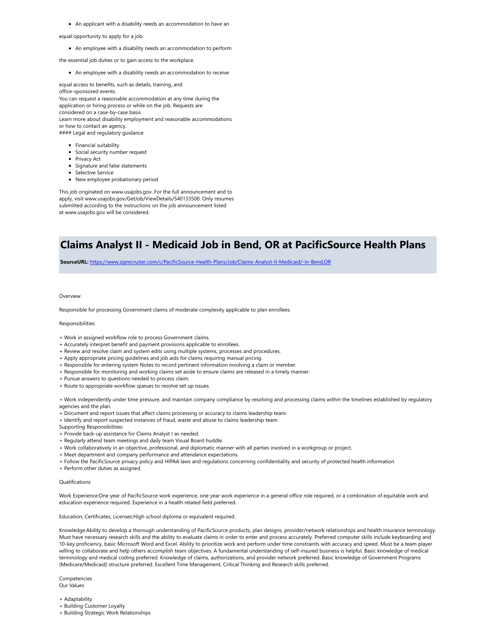An applicant with a disability needs an accommodation to have an

equal opportunity to apply for a job.

An employee with a disability needs an accommodation to perform

the essential job duties or to gain access to the workplace.

An employee with a disability needs an accommodation to receive

equal access to benefits, such as details, training, and office-sponsored events. You can request a reasonable accommodation at any time during the application or hiring process or while on the job. Requests are considered on a case-by-case basis. Learn more about disability employment and reasonable accommodations or how to contact an agency. #### Legal and regulatory guidance

- Financial suitability
- Social security number request
- Privacy Act
- Signature and false statements
- Selective Service
- New employee probationary period

This job originated on www.usajobs.gov. For the full announcement and to apply, visit www.usajobs.gov/GetJob/ViewDetails/540133500. Only resumes submitted according to the instructions on the job announcement listed at www.usajobs.gov will be considered.

# Claims Analyst II - Medicaid Job in Bend, OR at PacificSource Health Plans

SourceURL: [https://www.ziprecruiter.com/c/PacificSource-Health-Plans/Job/Claims-Analyst-II-Medicaid/-in-Bend,OR](https://www.ziprecruiter.com/c/PacificSource-Health-Plans/Job/Claims-Analyst-II-Medicaid/-in-Bend%2COR)

### **Overview**

Responsible for processing Government claims of moderate complexity applicable to plan enrollees.

#### Responsibilities

- + Work in assigned workflow role to process Government claims.
- + Accurately interpret benefit and payment provisions applicable to enrollees.
- + Review and resolve claim and system edits using multiple systems, processes and procedures.
- + Apply appropriate pricing guidelines and job aids for claims requiring manual pricing.
- + Responsible for entering system Notes to record pertinent information involving a claim or member.
- + Responsible for monitoring and working claims set aside to ensure claims are released in a timely manner.
- + Pursue answers to questions needed to process claim.
- + Route to appropriate workflow queues to resolve set up issues.

+ Work independently under time pressure, and maintain company compliance by resolving and processing claims within the timelines established by regulatory agencies and the plan.

- + Document and report issues that affect claims processing or accuracy to claims leadership team.
- + Identify and report suspected instances of fraud, waste and abuse to claims leadership team.
- Supporting Responsibilities:
- + Provide back-up assistance for Claims Analyst I as needed.
- + Regularly attend team meetings and daily team Visual Board huddle.
- + Work collaboratively in an objective, professional, and diplomatic manner with all parties involved in a workgroup or project.
- + Meet department and company performance and attendance expectations.
- + Follow the PacificSource privacy policy and HIPAA laws and regulations concerning confidentiality and security of protected health information
- + Perform other duties as assigned.

#### Qualifications

Work Experience:One year of PacificSource work experience, one year work experience in a general office role required, or a combination of equitable work and education experience required. Experience in a health related field preferred.

Education, Certificates, Licenses:High school diploma or equivalent required.

Knowledge:Ability to develop a thorough understanding of PacificSource products, plan designs, provider/network relationships and health insurance terminology. Must have necessary research skills and the ability to evaluate claims in order to enter and process accurately. Preferred computer skills include keyboarding and 10-key proficiency, basic Microsoft Word and Excel. Ability to prioritize work and perform under time constraints with accuracy and speed. Must be a team player willing to collaborate and help others accomplish team objectives. A fundamental understanding of self-insured business is helpful. Basic knowledge of medical terminology and medical coding preferred. Knowledge of claims, authorizations, and provider network preferred. Basic knowledge of Government Programs (Medicare/Medicaid) structure preferred. Excellent Time Management, Critical Thinking and Research skills preferred.

Competencies Our Values

- + Adaptability
- + Building Customer Loyalty
- + Building Strategic Work Relationships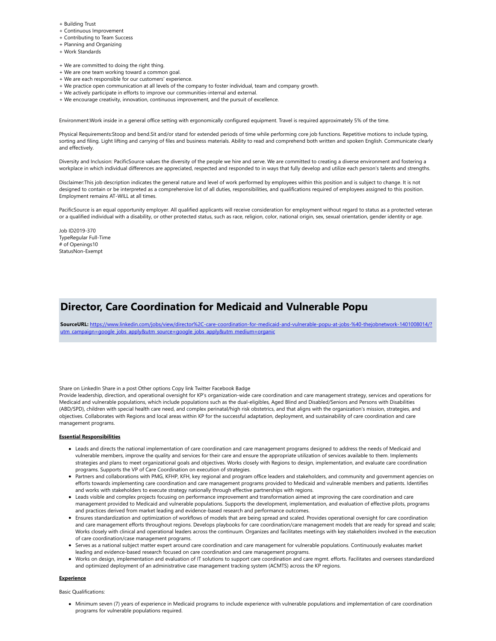- + Building Trust
- + Continuous Improvement
- + Contributing to Team Success
- + Planning and Organizing
- + Work Standards
- + We are committed to doing the right thing.
- + We are one team working toward a common goal.
- + We are each responsible for our customers' experience.
- + We practice open communication at all levels of the company to foster individual, team and company growth.
- + We actively participate in efforts to improve our communities-internal and external.
- + We encourage creativity, innovation, continuous improvement, and the pursuit of excellence.

Environment:Work inside in a general office setting with ergonomically configured equipment. Travel is required approximately 5% of the time.

Physical Requirements:Stoop and bend.Sit and/or stand for extended periods of time while performing core job functions. Repetitive motions to include typing, sorting and filing. Light lifting and carrying of files and business materials. Ability to read and comprehend both written and spoken English. Communicate clearly and effectively.

Diversity and Inclusion: PacificSource values the diversity of the people we hire and serve. We are committed to creating a diverse environment and fostering a workplace in which individual differences are appreciated, respected and responded to in ways that fully develop and utilize each person's talents and strengths.

Disclaimer:This job description indicates the general nature and level of work performed by employees within this position and is subject to change. It is not designed to contain or be interpreted as a comprehensive list of all duties, responsibilities, and qualifications required of employees assigned to this position. Employment remains AT-WILL at all times.

PacificSource is an equal opportunity employer. All qualified applicants will receive consideration for employment without regard to status as a protected veteran or a qualified individual with a disability, or other protected status, such as race, religion, color, national origin, sex, sexual orientation, gender identity or age.

Job ID2019-370 TypeRegular Full-Time # of Openings10 StatusNon-Exempt

# Director, Care Coordination for Medicaid and Vulnerable Popu

SourceURL: [https://www.linkedin.com/jobs/view/director%2C-care-coordination-for-medicaid-and-vulnerable-popu-at-jobs-%40-thejobnetwork-1401008014/?](https://www.linkedin.com/jobs/view/director%2C-care-coordination-for-medicaid-and-vulnerable-popu-at-jobs-%40-thejobnetwork-1401008014/%3Futm_campaign%3Dgoogle_jobs_apply%26utm_source%3Dgoogle_jobs_apply%26utm_medium%3Dorganic) utm\_campaign=google\_jobs\_apply&utm\_source=google\_jobs\_apply&utm\_medium=organic

Share on LinkedIn Share in a post Other options Copy link Twitter Facebook Badge

Provide leadership, direction, and operational oversight for KP's organization-wide care coordination and care management strategy, services and operations for Medicaid and vulnerable populations, which include populations such as the dual-eligibles, Aged Blind and Disabled/Seniors and Persons with Disabilities (ABD/SPD), children with special health care need, and complex perinatal/high risk obstetrics, and that aligns with the organization's mission, strategies, and objectives. Collaborates with Regions and local areas within KP for the successful adaptation, deployment, and sustainability of care coordination and care management programs.

### Essential Responsibilities

- Leads and directs the national implementation of care coordination and care management programs designed to address the needs of Medicaid and vulnerable members, improve the quality and services for their care and ensure the appropriate utilization of services available to them. Implements strategies and plans to meet organizational goals and objectives. Works closely with Regions to design, implementation, and evaluate care coordination programs. Supports the VP of Care Coordination on execution of strategies.
- Partners and collaborations with PMG, KFHP, KFH, key regional and program office leaders and stakeholders, and community and government agencies on efforts towards implementing care coordination and care management programs provided to Medicaid and vulnerable members and patients. Identifies and works with stakeholders to execute strategy nationally through effective partnerships with regions.
- Leads visible and complex projects focusing on performance improvement and transformation aimed at improving the care coordination and care management provided to Medicaid and vulnerable populations. Supports the development, implementation, and evaluation of effective pilots, programs and practices derived from market leading and evidence-based research and performance outcomes.
- Ensures standardization and optimization of workflows of models that are being spread and scaled. Provides operational oversight for care coordination and care management efforts throughout regions. Develops playbooks for care coordination/care management models that are ready for spread and scale; Works closely with clinical and operational leaders across the continuum. Organizes and facilitates meetings with key stakeholders involved in the execution of care coordination/case management programs.
- Serves as a national subject matter expert around care coordination and care management for vulnerable populations. Continuously evaluates market leading and evidence-based research focused on care coordination and care management programs.
- Works on design, implementation and evaluation of IT solutions to support care coordination and care mgmt. efforts. Facilitates and oversees standardized and optimized deployment of an administrative case management tracking system (ACMTS) across the KP regions.

### Experience

Basic Qualifications:

Minimum seven (7) years of experience in Medicaid programs to include experience with vulnerable populations and implementation of care coordination programs for vulnerable populations required.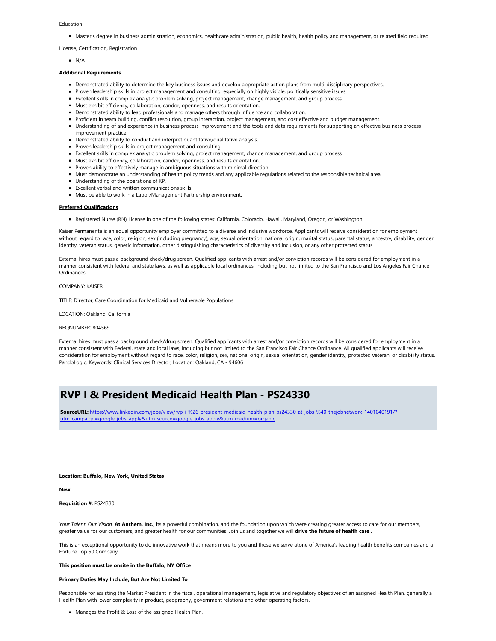#### Education

Master's degree in business administration, economics, healthcare administration, public health, health policy and management, or related field required.

License, Certification, Registration

 $\bullet$  N/A

# Additional Requirements

- Demonstrated ability to determine the key business issues and develop appropriate action plans from multi-disciplinary perspectives.
- Proven leadership skills in project management and consulting, especially on highly visible, politically sensitive issues.
- Excellent skills in complex analytic problem solving, project management, change management, and group process.
- Must exhibit efficiency, collaboration, candor, openness, and results orientation.
- Demonstrated ability to lead professionals and manage others through influence and collaboration.
- Proficient in team building, conflict resolution, group interaction, project management, and cost effective and budget management.
- Understanding of and experience in business process improvement and the tools and data requirements for supporting an effective business process improvement practice.
- Demonstrated ability to conduct and interpret quantitative/qualitative analysis.
- Proven leadership skills in project management and consulting.
- Excellent skills in complex analytic problem solving, project management, change management, and group process.
- Must exhibit efficiency, collaboration, candor, openness, and results orientation.
- Proven ability to effectively manage in ambiguous situations with minimal direction.
- Must demonstrate an understanding of health policy trends and any applicable regulations related to the responsible technical area.
- Understanding of the operations of KP.
- Excellent verbal and written communications skills.
- Must be able to work in a Labor/Management Partnership environment.

#### Preferred Qualifications

Registered Nurse (RN) License in one of the following states: California, Colorado, Hawaii, Maryland, Oregon, or Washington.

Kaiser Permanente is an equal opportunity employer committed to a diverse and inclusive workforce. Applicants will receive consideration for employment without regard to race, color, religion, sex (including pregnancy), age, sexual orientation, national origin, marital status, parental status, ancestry, disability, gender identity, veteran status, genetic information, other distinguishing characteristics of diversity and inclusion, or any other protected status.

External hires must pass a background check/drug screen. Qualified applicants with arrest and/or conviction records will be considered for employment in a manner consistent with federal and state laws, as well as applicable local ordinances, including but not limited to the San Francisco and Los Angeles Fair Chance Ordinances.

#### COMPANY: KAISER

TITLE: Director, Care Coordination for Medicaid and Vulnerable Populations

#### LOCATION: Oakland, California

### REQNUMBER: 804569

External hires must pass a background check/drug screen. Qualified applicants with arrest and/or conviction records will be considered for employment in a manner consistent with Federal, state and local laws, including but not limited to the San Francisco Fair Chance Ordinance. All qualified applicants will receive consideration for employment without regard to race, color, religion, sex, national origin, sexual orientation, gender identity, protected veteran, or disability status. PandoLogic. Keywords: Clinical Services Director, Location: Oakland, CA - 94606

# RVP I & President Medicaid Health Plan - PS24330

SourceURL: [https://www.linkedin.com/jobs/view/rvp-i-%26-president-medicaid-health-plan-ps24330-at-jobs-%40-thejobnetwork-1401040191/?](https://www.linkedin.com/jobs/view/rvp-i-%26-president-medicaid-health-plan-ps24330-at-jobs-%40-thejobnetwork-1401040191/%3Futm_campaign%3Dgoogle_jobs_apply%26utm_source%3Dgoogle_jobs_apply%26utm_medium%3Dorganic) utm\_campaign=google\_jobs\_apply&utm\_source=google\_jobs\_apply&utm\_medium=organic

# Location: Buffalo, New York, United States

New

# Requisition #: PS24330

Your Talent. Our Vision. At Anthem, Inc., its a powerful combination, and the foundation upon which were creating greater access to care for our members, greater value for our customers, and greater health for our communities. Join us and together we will drive the future of health care.

This is an exceptional opportunity to do innovative work that means more to you and those we serve atone of America's leading health benefits companies and a Fortune Top 50 Company.

# This position must be onsite in the Buffalo, NY Office

# Primary Duties May Include, But Are Not Limited To

Responsible for assisting the Market President in the fiscal, operational management, legislative and regulatory objectives of an assigned Health Plan, generally a Health Plan with lower complexity in product, geography, government relations and other operating factors.

Manages the Profit & Loss of the assigned Health Plan.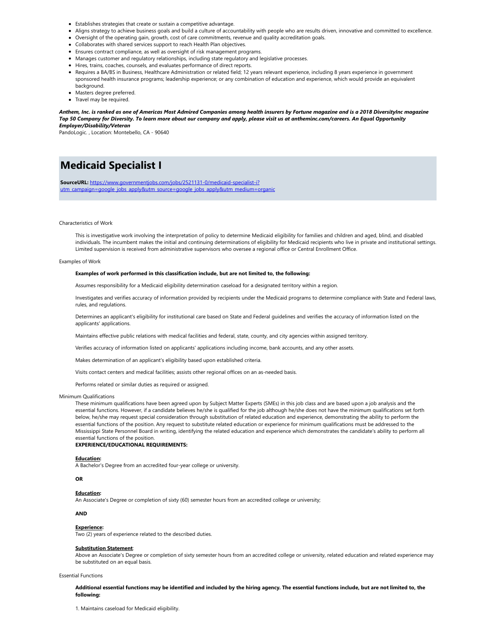- Establishes strategies that create or sustain a competitive advantage.
- Aligns strategy to achieve business goals and build a culture of accountability with people who are results driven, innovative and committed to excellence.
- Oversight of the operating gain, growth, cost of care commitments, revenue and quality accreditation goals.
- Collaborates with shared services support to reach Health Plan objectives.
- Ensures contract compliance, as well as oversight of risk management programs.
- Manages customer and regulatory relationships, including state regulatory and legislative processes.
- Hires, trains, coaches, counsels, and evaluates performance of direct reports.

Requires a BA/BS in Business, Healthcare Administration or related field; 12 years relevant experience, including 8 years experience in government sponsored health insurance programs; leadership experience; or any combination of education and experience, which would provide an equivalent background.

- Masters degree preferred.
- Travel may be required.

Anthem, Inc. is ranked as one of Americas Most Admired Companies among health insurers by Fortune magazine and is a 2018 DiversityInc magazine Top 50 Company for Diversity. To learn more about our company and apply, please visit us at antheminc.com/careers. An Equal Opportunity Employer/Disability/Veteran

PandoLogic. , Location: Montebello, CA - 90640

# Medicaid Specialist I

SourceURL: https://www.governmentjobs.com/jobs/2521131-0/medicaid-specialist-i? [utm\\_campaign=google\\_jobs\\_apply&utm\\_source=google\\_jobs\\_apply&utm\\_medium=organic](https://www.governmentjobs.com/jobs/2521131-0/medicaid-specialist-i%3Futm_campaign%3Dgoogle_jobs_apply%26utm_source%3Dgoogle_jobs_apply%26utm_medium%3Dorganic)

## Characteristics of Work

This is investigative work involving the interpretation of policy to determine Medicaid eligibility for families and children and aged, blind, and disabled individuals. The incumbent makes the initial and continuing determinations of eligibility for Medicaid recipients who live in private and institutional settings. Limited supervision is received from administrative supervisors who oversee a regional office or Central Enrollment Office.

# Examples of Work

### Examples of work performed in this classification include, but are not limited to, the following:

Assumes responsibility for a Medicaid eligibility determination caseload for a designated territory within a region.

Investigates and verifies accuracy of information provided by recipients under the Medicaid programs to determine compliance with State and Federal laws, rules, and regulations.

Determines an applicant's eligibility for institutional care based on State and Federal guidelines and verifies the accuracy of information listed on the applicants' applications.

Maintains effective public relations with medical facilities and federal, state, county, and city agencies within assigned territory.

Verifies accuracy of information listed on applicants' applications including income, bank accounts, and any other assets.

Makes determination of an applicant's eligibility based upon established criteria.

Visits contact centers and medical facilities; assists other regional offices on an as-needed basis.

Performs related or similar duties as required or assigned.

# Minimum Qualifications

These minimum qualifications have been agreed upon by Subject Matter Experts (SMEs) in this job class and are based upon a job analysis and the essential functions. However, if a candidate believes he/she is qualified for the job although he/she does not have the minimum qualifications set forth below, he/she may request special consideration through substitution of related education and experience, demonstrating the ability to perform the essential functions of the position. Any request to substitute related education or experience for minimum qualifications must be addressed to the Mississippi State Personnel Board in writing, identifying the related education and experience which demonstrates the candidate's ability to perform all essential functions of the position.

# EXPERIENCE/EDUCATIONAL REQUIREMENTS:

#### Education:

A Bachelor's Degree from an accredited four-year college or university.

#### OR

### Education:

An Associate's Degree or completion of sixty (60) semester hours from an accredited college or university;

### AND

### Experience:

Two (2) years of experience related to the described duties.

# Substitution Statement:

Above an Associate's Degree or completion of sixty semester hours from an accredited college or university, related education and related experience may be substituted on an equal basis.

## Essential Functions

Additional essential functions may be identified and included by the hiring agency. The essential functions include, but are not limited to, the following:

1. Maintains caseload for Medicaid eligibility.